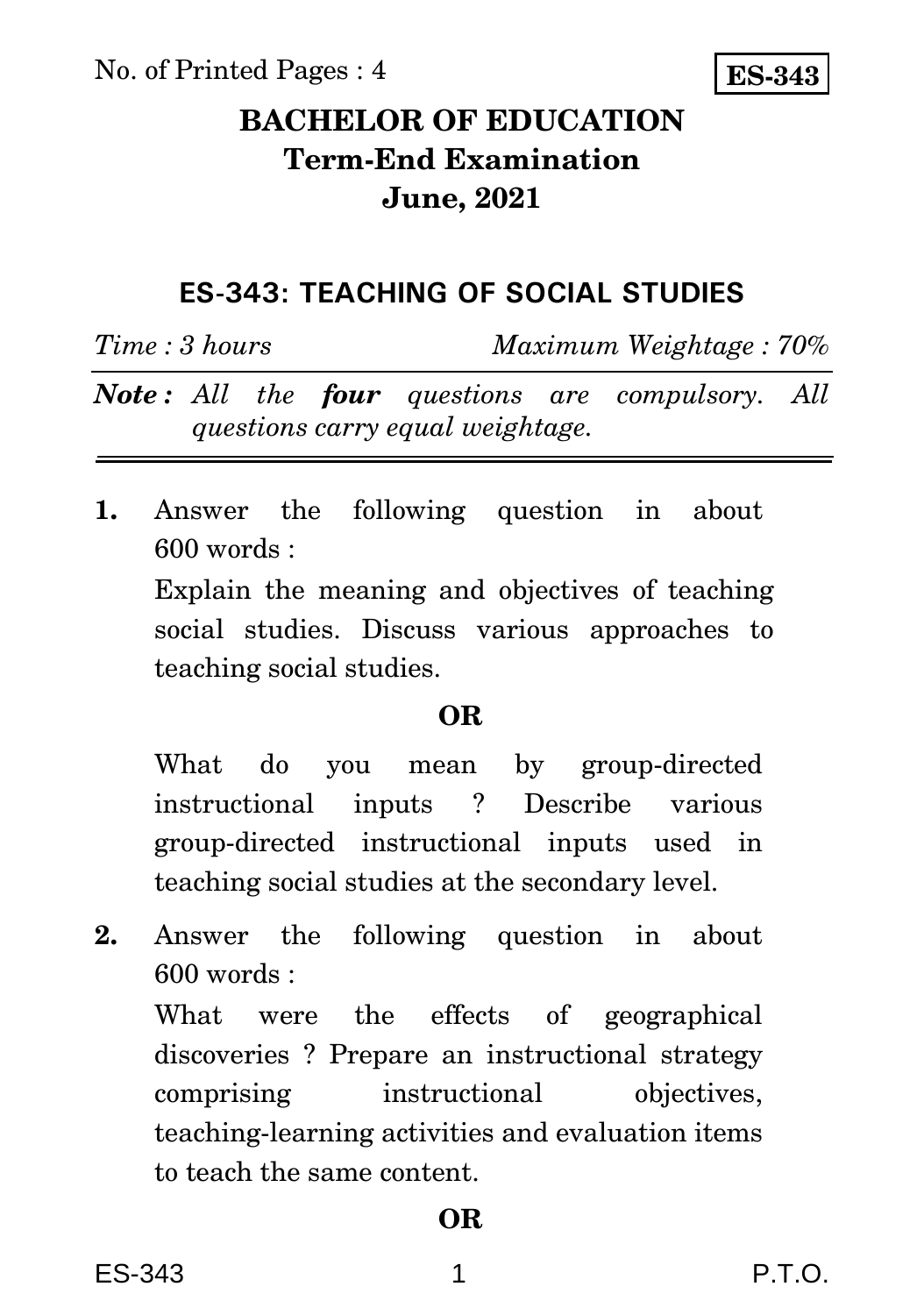No. of Printed Pages : 4



# **BACHELOR OF EDUCATION Term-End Examination June, 2021**

## **ES-343: TEACHING OF SOCIAL STUDIES**

*Time : 3 hours Maximum Weightage : 70%*

*Note : All the four questions are compulsory. All questions carry equal weightage.*

**1.** Answer the following question in about 600 words :

Explain the meaning and objectives of teaching social studies. Discuss various approaches to teaching social studies.

## **OR**

What do you mean by group-directed instructional inputs ? Describe various group-directed instructional inputs used in teaching social studies at the secondary level.

**2.** Answer the following question in about 600 words :

What were the effects of geographical discoveries ? Prepare an instructional strategy comprising instructional objectives, teaching-learning activities and evaluation items to teach the same content.

## **OR**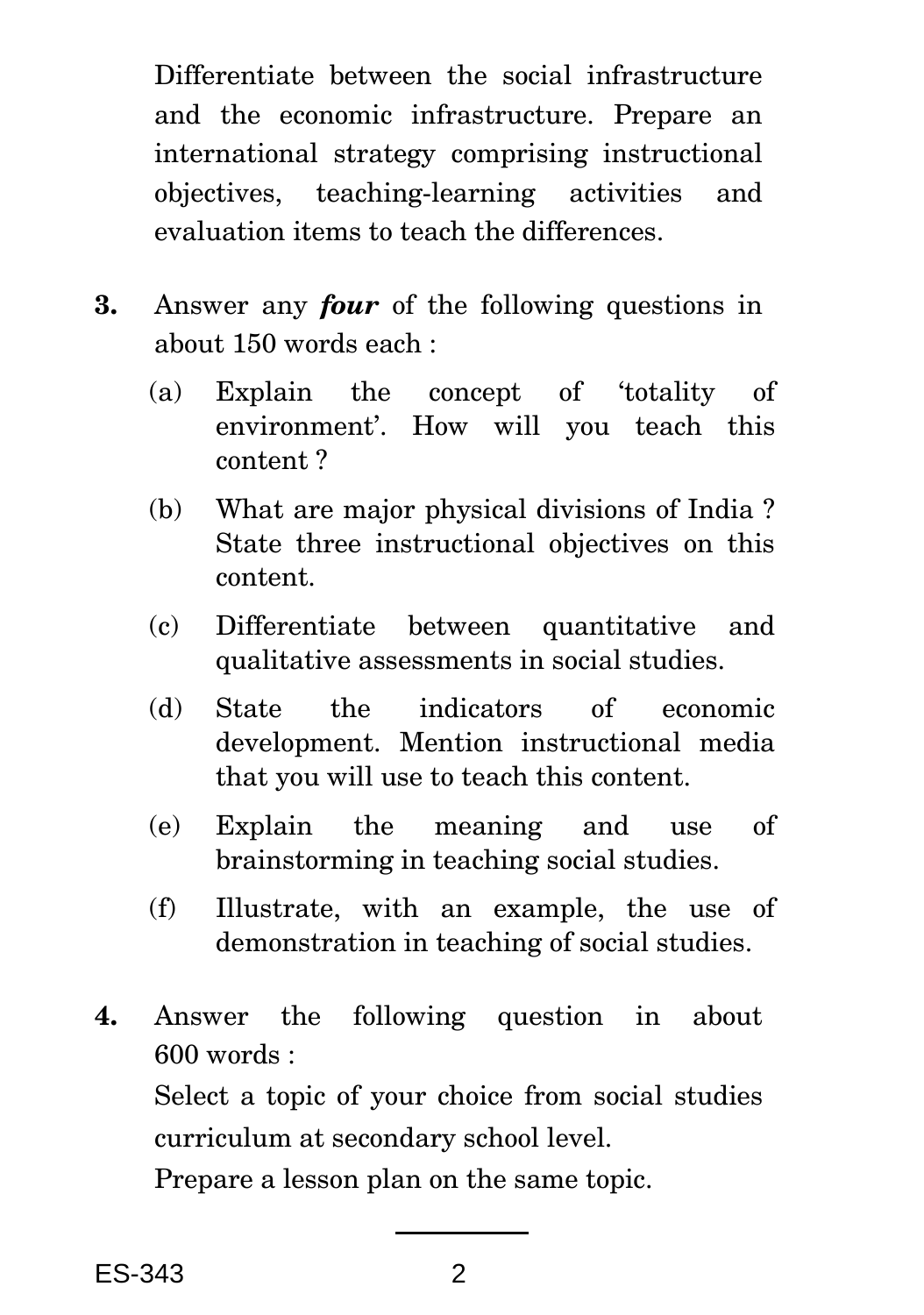Differentiate between the social infrastructure and the economic infrastructure. Prepare an international strategy comprising instructional objectives, teaching-learning activities and evaluation items to teach the differences.

- **3.** Answer any *four* of the following questions in about 150 words each :
	- (a) Explain the concept of 'totality of environment'. How will you teach this content ?
	- (b) What are major physical divisions of India ? State three instructional objectives on this content.
	- (c) Differentiate between quantitative and qualitative assessments in social studies.
	- (d) State the indicators of economic development. Mention instructional media that you will use to teach this content.
	- (e) Explain the meaning and use of brainstorming in teaching social studies.
	- (f) Illustrate, with an example, the use of demonstration in teaching of social studies.
- **4.** Answer the following question in about 600 words :

Select a topic of your choice from social studies curriculum at secondary school level.

Prepare a lesson plan on the same topic.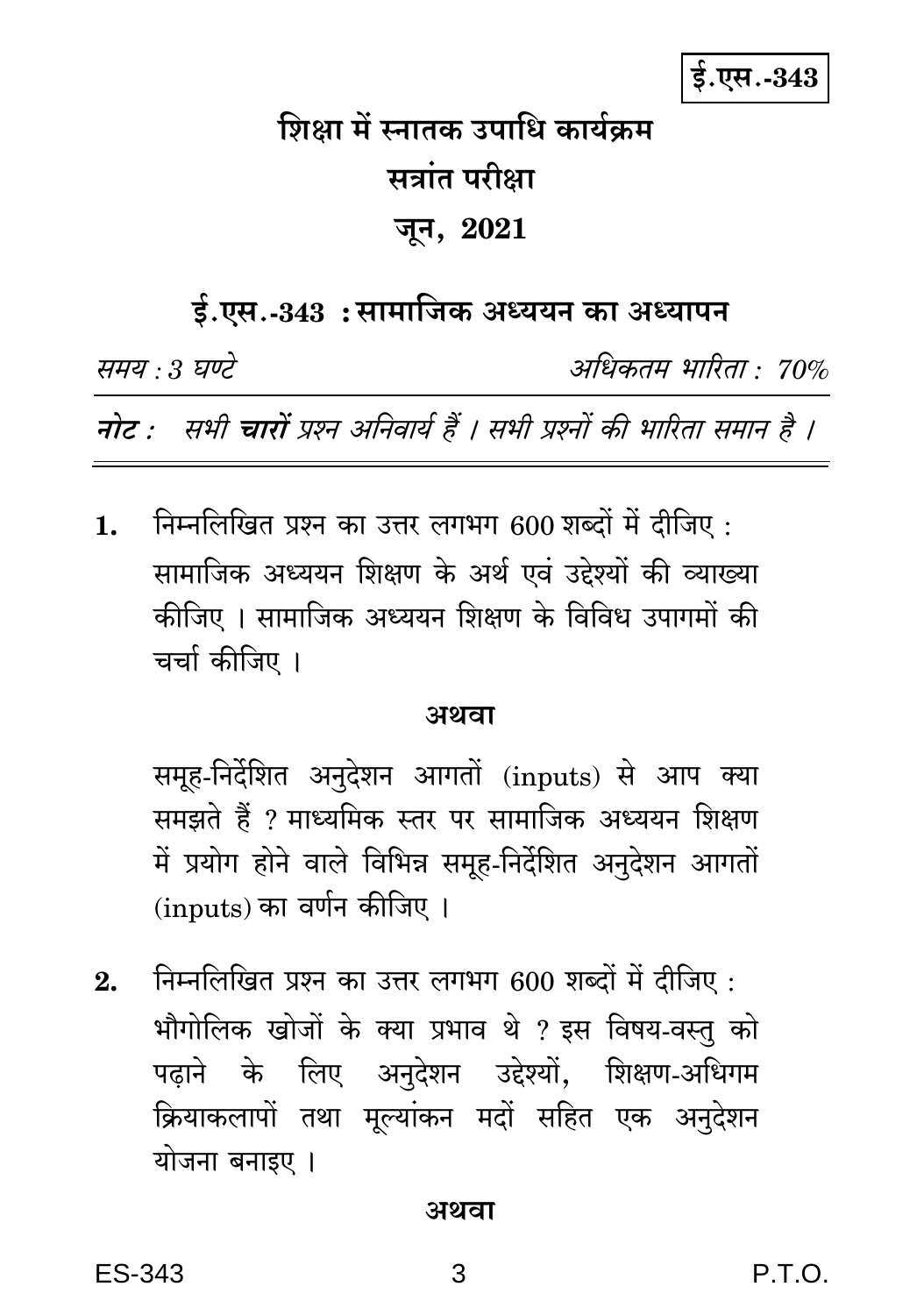$$.$ एस.- $343$ 

# शिक्षा में स्नातक उपाधि कार्यक्रम सत्रांत परीक्षा जून, 2021

# ई.एस.-343: सामाजिक अध्ययन का अध्यापन

समय : 3 घण्टे

अधिकतम् भारिता • 70%

नोट : सभी चारों प्रश्न अनिवार्य हैं । सभी प्रश्नों की भारिता समान है ।

निम्नलिखित प्रश्न का उत्तर लगभग 600 शब्दों में दीजिए :  $1.$ सामाजिक अध्ययन शिक्षण के अर्थ एवं उद्देश्यों की व्याख्या कीजिए । सामाजिक अध्ययन शिक्षण के विविध उपागमों की चर्चा कीजिए ।

### अथवा

समूह-निर्देशित अनुदेशन आगतों (inputs) से आप क्या समझते हैं ? माध्यमिक स्तर पर सामाजिक अध्ययन शिक्षण में प्रयोग होने वाले विभिन्न समूह-निर्देशित अनुदेशन आगतों (inputs) का वर्णन कीजिए ।

निम्नलिखित प्रश्न का उत्तर लगभग 600 शब्दों में दीजिए :  $2.$ भौगोलिक खोजों के क्या प्रभाव थे ? इस विषय-वस्तु को पढ़ाने के लिए अनुदेशन उद्देश्यों, शिक्षण-अधिगम क्रियाकलापों तथा मूल्यांकन मदों सहित एक अनुदेशन योजना बनाइए ।

#### अथवा